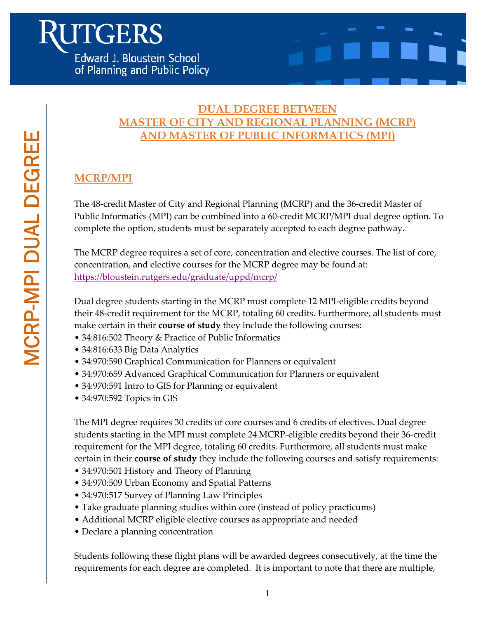

# **MCRP/MPI**

The 48-credit Master of City and Regional Planning (MCRP) and the 36-credit Master of Public Informatics (MPI) can be combined into a 60-credit MCRP/MPI dual degree option. To complete the option, students must be separately accepted to each degree pathway.

The MCRP degree requires a set of core, concentration and elective courses. The list of core, concentration, and elective courses for the MCRP degree may be found at: https://bloustein.rutgers.edu/graduate/uppd/mcrp/

Dual degree students starting in the MCRP must complete 12 MPI-eligible credits beyond their 48-credit requirement for the MCRP, totaling 60 credits. Furthermore, all students must make certain in their **course of study** they include the following courses:

- 34:816:502 Theory & Practice of Public Informatics
- 34:816:633 Big Data Analytics
- 34:970:590 Graphical Communication for Planners or equivalent
- 34:970:659 Advanced Graphical Communication for Planners or equivalent
- 34:970:591 Intro to GIS for Planning or equivalent
- 34:970:592 Topics in GIS

The MPI degree requires 30 credits of core courses and 6 credits of electives. Dual degree students starting in the MPI must complete 24 MCRP-eligible credits beyond their 36-credit requirement for the MPI degree, totaling 60 credits. Furthermore, all students must make certain in their **course of study** they include the following courses and satisfy requirements:

- 34:970:501 History and Theory of Planning
- 34:970:509 Urban Economy and Spatial Patterns
- 34:970:517 Survey of Planning Law Principles
- Take graduate planning studios within core (instead of policy practicums)
- Additional MCRP eligible elective courses as appropriate and needed
- Declare a planning concentration

Students following these flight plans will be awarded degrees consecutively, at the time the requirements for each degree are completed. It is important to note that there are multiple,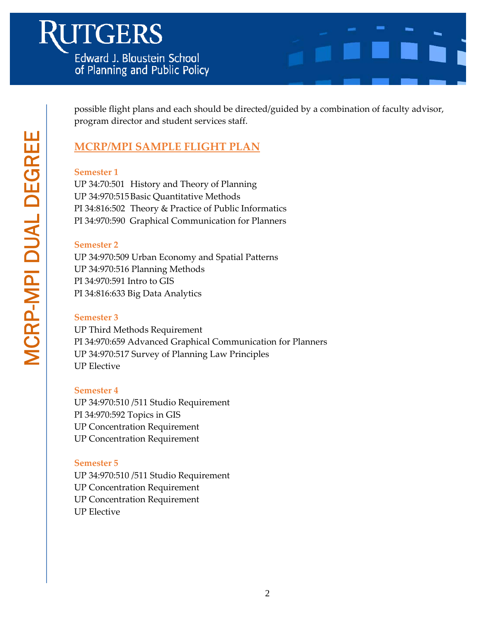

possible flight plans and each should be directed/guided by a combination of faculty advisor, program director and student services staff.

## **MCRP/MPI SAMPLE FLIGHT PLAN**

#### **Semester 1**

UP 34:70:501 History and Theory of Planning UP 34:970:515 Basic Quantitative Methods PI 34:816:502 Theory & Practice of Public Informatics PI 34:970:590 Graphical Communication for Planners

## **Semester 2**

UP 34:970:509 Urban Economy and Spatial Patterns UP 34:970:516 Planning Methods PI 34:970:591 Intro to GIS PI 34:816:633 Big Data Analytics

## **Semester 3**

UP Third Methods Requirement PI 34:970:659 Advanced Graphical Communication for Planners UP 34:970:517 Survey of Planning Law Principles UP Elective

#### **Semester 4**

UP 34:970:510 /511 Studio Requirement PI 34:970:592 Topics in GIS UP Concentration Requirement UP Concentration Requirement

## **Semester 5**

UP 34:970:510 /511 Studio Requirement UP Concentration Requirement UP Concentration Requirement UP Elective